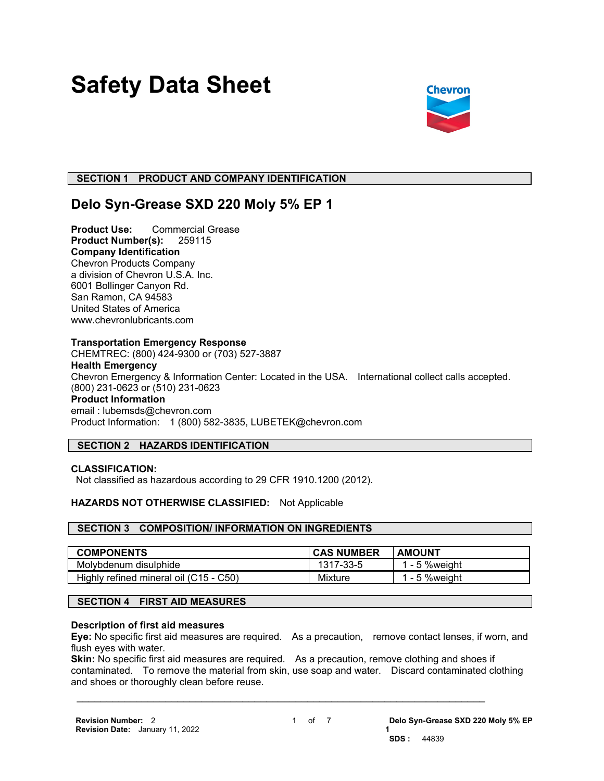# **Safety Data Sheet**



# **SECTION 1 PRODUCT AND COMPANY IDENTIFICATION**

# **Delo Syn-Grease SXD 220 Moly 5% EP 1**

**Product Use:** Commercial Grease **Product Number(s):** 259115 **Company Identification** Chevron Products Company a division of Chevron U.S.A. Inc. 6001 Bollinger Canyon Rd. San Ramon, CA 94583 United States of America www.chevronlubricants.com

#### **Transportation Emergency Response**

CHEMTREC: (800) 424-9300 or (703) 527-3887 **Health Emergency** Chevron Emergency & Information Center: Located in the USA. International collect calls accepted. (800) 231-0623 or (510) 231-0623 **Product Information** email : lubemsds@chevron.com Product Information: 1 (800) 582-3835, LUBETEK@chevron.com

# **SECTION 2 HAZARDS IDENTIFICATION**

#### **CLASSIFICATION:**

Not classified as hazardous according to 29 CFR 1910.1200 (2012).

### **HAZARDS NOT OTHERWISE CLASSIFIED:** Not Applicable

#### **SECTION 3 COMPOSITION/ INFORMATION ON INGREDIENTS**

| <b>COMPONENTS</b>                      | <b>CAS NUMBER</b> | <b>AMOUNT</b>  |
|----------------------------------------|-------------------|----------------|
| Molybdenum disulphide                  | 1317-33-5         | 1 - 5 % weight |
| Highly refined mineral oil (C15 - C50) | <b>Mixture</b>    | 1 - 5 % weight |

#### **SECTION 4 FIRST AID MEASURES**

#### **Description of first aid measures**

**Eye:** No specific first aid measures are required. As a precaution, remove contact lenses, if worn, and flush eyes with water.

**Skin:** No specific first aid measures are required. As a precaution, remove clothing and shoes if contaminated. To remove the material from skin, use soap and water. Discard contaminated clothing and shoes or thoroughly clean before reuse.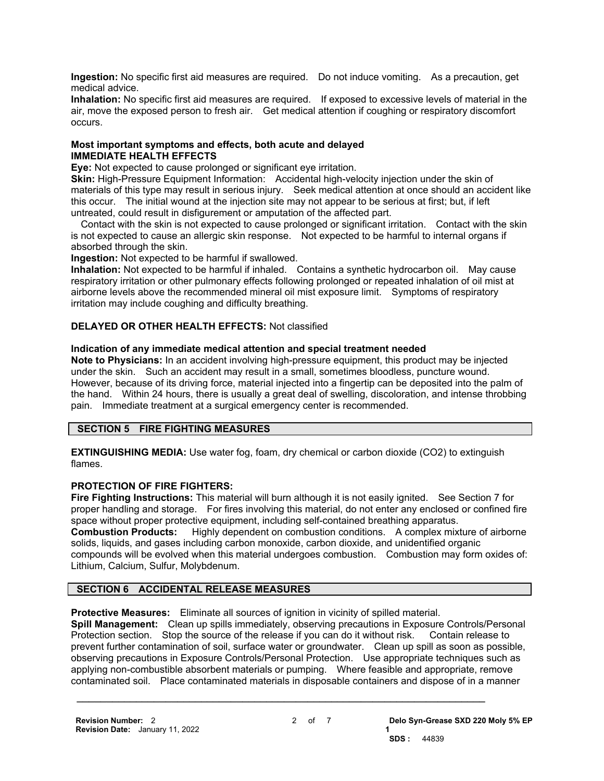**Ingestion:** No specific first aid measures are required. Do not induce vomiting. As a precaution, get medical advice.

**Inhalation:** No specific first aid measures are required. If exposed to excessive levels of material in the air, move the exposed person to fresh air. Get medical attention if coughing or respiratory discomfort occurs.

### **Most important symptoms and effects, both acute and delayed IMMEDIATE HEALTH EFFECTS**

**Eye:** Not expected to cause prolonged or significant eye irritation.

**Skin:** High-Pressure Equipment Information: Accidental high-velocity injection under the skin of materials of this type may result in serious injury. Seek medical attention at once should an accident like this occur. The initial wound at the injection site may not appear to be serious at first; but, if left untreated, could result in disfigurement or amputation of the affected part.

 Contact with the skin is not expected to cause prolonged or significant irritation. Contact with the skin is not expected to cause an allergic skin response. Not expected to be harmful to internal organs if absorbed through the skin.

**Ingestion:** Not expected to be harmful if swallowed.

**Inhalation:** Not expected to be harmful if inhaled. Contains a synthetic hydrocarbon oil. May cause respiratory irritation or other pulmonary effects following prolonged or repeated inhalation of oil mist at airborne levels above the recommended mineral oil mist exposure limit. Symptoms of respiratory irritation may include coughing and difficulty breathing.

# **DELAYED OR OTHER HEALTH EFFECTS:** Not classified

### **Indication of any immediate medical attention and special treatment needed**

**Note to Physicians:** In an accident involving high-pressure equipment, this product may be injected under the skin. Such an accident may result in a small, sometimes bloodless, puncture wound. However, because of its driving force, material injected into a fingertip can be deposited into the palm of the hand. Within 24 hours, there is usually a great deal of swelling, discoloration, and intense throbbing pain. Immediate treatment at a surgical emergency center is recommended.

# **SECTION 5 FIRE FIGHTING MEASURES**

**EXTINGUISHING MEDIA:** Use water fog, foam, dry chemical or carbon dioxide (CO2) to extinguish flames.

# **PROTECTION OF FIRE FIGHTERS:**

**Fire Fighting Instructions:** This material will burn although it is not easily ignited. See Section 7 for proper handling and storage. For fires involving this material, do not enter any enclosed or confined fire space without proper protective equipment, including self-contained breathing apparatus.

**Combustion Products:** Highly dependent on combustion conditions. A complex mixture of airborne solids, liquids, and gases including carbon monoxide, carbon dioxide, and unidentified organic compounds will be evolved when this material undergoes combustion. Combustion may form oxides of: Lithium, Calcium, Sulfur, Molybdenum.

# **SECTION 6 ACCIDENTAL RELEASE MEASURES**

**Protective Measures:** Eliminate all sources of ignition in vicinity of spilled material.

**Spill Management:** Clean up spills immediately, observing precautions in Exposure Controls/Personal Protection section. Stop the source of the release if you can do it without risk. Contain release to prevent further contamination of soil, surface water or groundwater. Clean up spill as soon as possible, observing precautions in Exposure Controls/Personal Protection. Use appropriate techniques such as applying non-combustible absorbent materials or pumping. Where feasible and appropriate, remove contaminated soil. Place contaminated materials in disposable containers and dispose of in a manner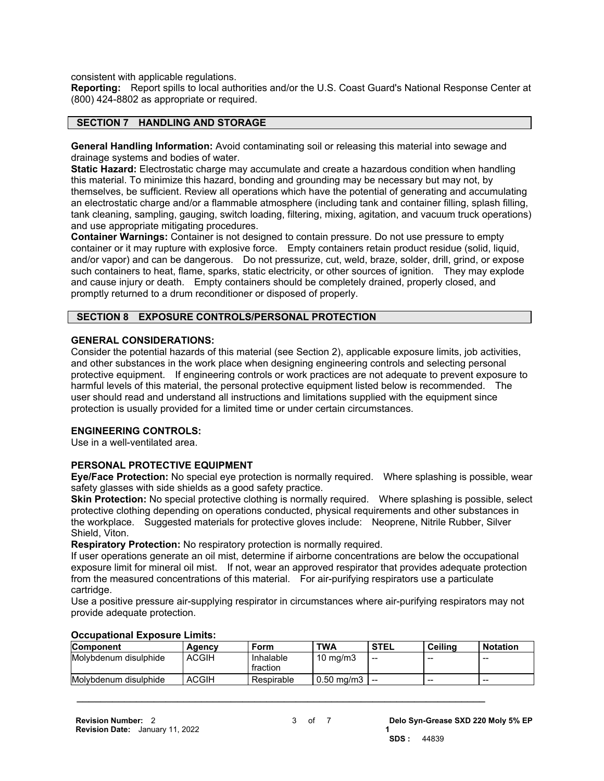consistent with applicable regulations.

**Reporting:** Report spills to local authorities and/or the U.S. Coast Guard's National Response Center at (800) 424-8802 as appropriate or required.

#### **SECTION 7 HANDLING AND STORAGE**

**General Handling Information:** Avoid contaminating soil or releasing this material into sewage and drainage systems and bodies of water.

**Static Hazard:** Electrostatic charge may accumulate and create a hazardous condition when handling this material. To minimize this hazard, bonding and grounding may be necessary but may not, by themselves, be sufficient. Review all operations which have the potential of generating and accumulating an electrostatic charge and/or a flammable atmosphere (including tank and container filling, splash filling, tank cleaning, sampling, gauging, switch loading, filtering, mixing, agitation, and vacuum truck operations) and use appropriate mitigating procedures.

**Container Warnings:** Container is not designed to contain pressure. Do not use pressure to empty container or it may rupture with explosive force. Empty containers retain product residue (solid, liquid, and/or vapor) and can be dangerous. Do not pressurize, cut, weld, braze, solder, drill, grind, or expose such containers to heat, flame, sparks, static electricity, or other sources of ignition. They may explode and cause injury or death. Empty containers should be completely drained, properly closed, and promptly returned to a drum reconditioner or disposed of properly.

#### **SECTION 8 EXPOSURE CONTROLS/PERSONAL PROTECTION**

#### **GENERAL CONSIDERATIONS:**

Consider the potential hazards of this material (see Section 2), applicable exposure limits, job activities, and other substances in the work place when designing engineering controls and selecting personal protective equipment. If engineering controls or work practices are not adequate to prevent exposure to harmful levels of this material, the personal protective equipment listed below is recommended. The user should read and understand all instructions and limitations supplied with the equipment since protection is usually provided for a limited time or under certain circumstances.

#### **ENGINEERING CONTROLS:**

Use in a well-ventilated area.

#### **PERSONAL PROTECTIVE EQUIPMENT**

**Eye/Face Protection:** No special eye protection is normally required. Where splashing is possible, wear safety glasses with side shields as a good safety practice.

**Skin Protection:** No special protective clothing is normally required. Where splashing is possible, select protective clothing depending on operations conducted, physical requirements and other substances in the workplace. Suggested materials for protective gloves include: Neoprene, Nitrile Rubber, Silver Shield, Viton.

**Respiratory Protection:** No respiratory protection is normally required.

If user operations generate an oil mist, determine if airborne concentrations are below the occupational exposure limit for mineral oil mist. If not, wear an approved respirator that provides adequate protection from the measured concentrations of this material. For air-purifying respirators use a particulate cartridge.

Use a positive pressure air-supplying respirator in circumstances where air-purifying respirators may not provide adequate protection.

| OUUUNULIVIIUI EADUUIU EIIIILUI |              |                       |                        |             |         |                 |
|--------------------------------|--------------|-----------------------|------------------------|-------------|---------|-----------------|
| <b>Component</b>               | Aaencv       | Form                  | <b>TWA</b>             | <b>STEL</b> | Ceilina | <b>Notation</b> |
| Molvbdenum disulphide          | <b>ACGIH</b> | Inhalable<br>fraction | $10 \text{ ma/m}$ 3    | --          | $- -$   | --              |
| Molvbdenum disulphide          | <b>ACGIH</b> | Respirable            | $0.50 \; \text{ma/m3}$ | --          | $- -$   | $- -$           |

 $\mathcal{L} = \{ \mathcal{L} \mathcal{L} \mathcal{L} \mathcal{L} \mathcal{L} \mathcal{L} \mathcal{L} \mathcal{L} \mathcal{L} \mathcal{L} \mathcal{L} \mathcal{L} \mathcal{L} \mathcal{L} \mathcal{L} \mathcal{L} \mathcal{L} \mathcal{L} \mathcal{L} \mathcal{L} \mathcal{L} \mathcal{L} \mathcal{L} \mathcal{L} \mathcal{L} \mathcal{L} \mathcal{L} \mathcal{L} \mathcal{L} \mathcal{L} \mathcal{L} \mathcal{L} \mathcal{L} \mathcal{L} \mathcal{L} \$ 

#### **Occupational Exposure Limits:**

**1**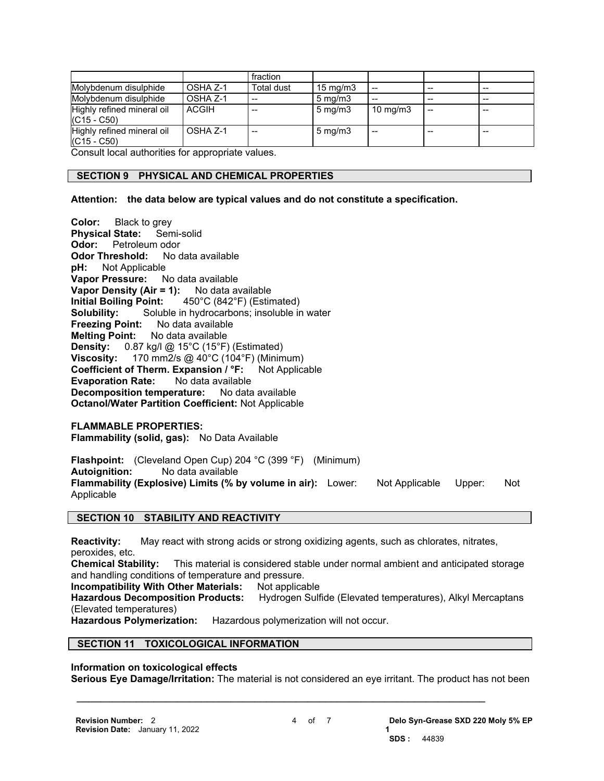|                                             |              | fraction          |                   |                   |    |     |
|---------------------------------------------|--------------|-------------------|-------------------|-------------------|----|-----|
| Molybdenum disulphide                       | OSHA Z-1     | <b>Total dust</b> | $15 \text{ mg/m}$ |                   | -- | $-$ |
| Molybdenum disulphide                       | OSHA Z-1     |                   | $5 \text{ mg/m}$  |                   |    |     |
| Highly refined mineral oil<br>$(C15 - C50)$ | <b>ACGIH</b> |                   | $5 \text{ mg/m}$  | $10 \text{ mg/m}$ | -- |     |
| Highly refined mineral oil<br>$(C15 - C50)$ | OSHA Z-1     | $- -$             | $5 \text{ mg/m}$  | $- -$             |    |     |

Consult local authorities for appropriate values.

# **SECTION 9 PHYSICAL AND CHEMICAL PROPERTIES**

#### **Attention: the data below are typical values and do not constitute a specification.**

**Color:** Black to grey **Physical State:** Semi-solid **Odor:** Petroleum odor **Odor Threshold:** No data available **pH:** Not Applicable **Not Applicable Vapor Pressure:** No data available **Vapor Density (Air = 1):** No data available **Initial Boiling Point:** 450°C (842°F) (Estimated) **Solubility:** Soluble in hydrocarbons; insoluble in water **Freezing Point:** No data available **Melting Point:** No data available **Density:** 0.87 kg/l @ 15°C (15°F) (Estimated) **Viscosity:** 170 mm2/s @ 40°C (104°F) (Minimum) **Coefficient of Therm. Expansion / °F:** Not Applicable **Evaporation Rate:** No data available **Decomposition temperature:** No data available **Octanol/Water Partition Coefficient:** Not Applicable

#### **FLAMMABLE PROPERTIES:**

**Flammability (solid, gas):** No Data Available

**Flashpoint:** (Cleveland Open Cup) 204 °C (399 °F) (Minimum) **Autoignition:** No data available Flammability (Explosive) Limits (% by volume in air): Lower: Not Applicable Upper: Not Applicable

#### **SECTION 10 STABILITY AND REACTIVITY**

**Reactivity:** May react with strong acids or strong oxidizing agents, such as chlorates, nitrates, peroxides, etc.

**Chemical Stability:** This material is considered stable under normal ambient and anticipated storage and handling conditions of temperature and pressure.

**Incompatibility With Other Materials:** Not applicable

**Hazardous Decomposition Products:** Hydrogen Sulfide (Elevated temperatures), Alkyl Mercaptans (Elevated temperatures)

**Hazardous Polymerization:** Hazardous polymerization will not occur.

# **SECTION 11 TOXICOLOGICAL INFORMATION**

#### **Information on toxicological effects**

**Serious Eye Damage/Irritation:** The material is not considered an eye irritant. The product has not been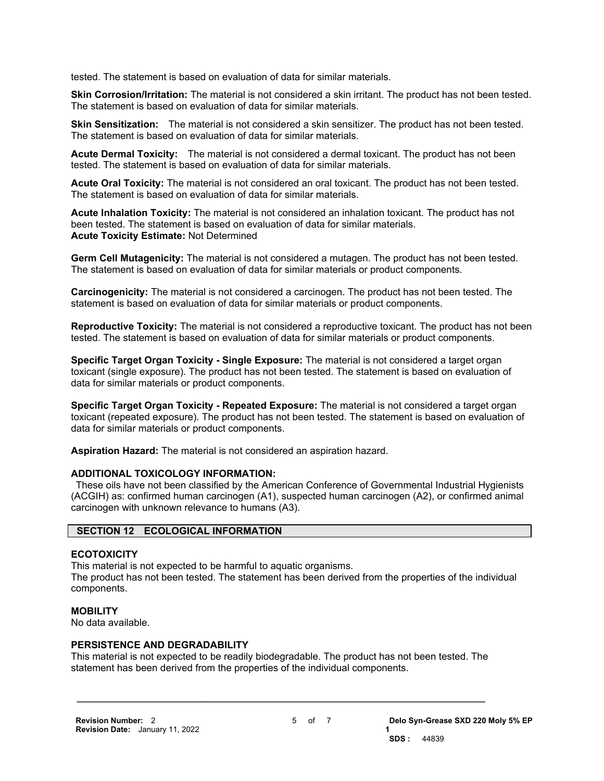tested. The statement is based on evaluation of data for similar materials.

**Skin Corrosion/Irritation:** The material is not considered a skin irritant. The product has not been tested. The statement is based on evaluation of data for similar materials.

**Skin Sensitization:** The material is not considered a skin sensitizer. The product has not been tested. The statement is based on evaluation of data for similar materials.

**Acute Dermal Toxicity:** The material is not considered a dermal toxicant. The product has not been tested. The statement is based on evaluation of data for similar materials.

**Acute Oral Toxicity:** The material is not considered an oral toxicant. The product has not been tested. The statement is based on evaluation of data for similar materials.

**Acute Inhalation Toxicity:** The material is not considered an inhalation toxicant. The product has not been tested. The statement is based on evaluation of data for similar materials. **Acute Toxicity Estimate:** Not Determined

**Germ Cell Mutagenicity:** The material is not considered a mutagen. The product has not been tested. The statement is based on evaluation of data for similar materials or product components.

**Carcinogenicity:** The material is not considered a carcinogen. The product has not been tested. The statement is based on evaluation of data for similar materials or product components.

**Reproductive Toxicity:** The material is not considered a reproductive toxicant. The product has not been tested. The statement is based on evaluation of data for similar materials or product components.

**Specific Target Organ Toxicity - Single Exposure:** The material is not considered a target organ toxicant (single exposure). The product has not been tested. The statement is based on evaluation of data for similar materials or product components.

**Specific Target Organ Toxicity - Repeated Exposure:** The material is not considered a target organ toxicant (repeated exposure). The product has not been tested. The statement is based on evaluation of data for similar materials or product components.

**Aspiration Hazard:** The material is not considered an aspiration hazard.

#### **ADDITIONAL TOXICOLOGY INFORMATION:**

 These oils have not been classified by the American Conference of Governmental Industrial Hygienists (ACGIH) as: confirmed human carcinogen (A1), suspected human carcinogen (A2), or confirmed animal carcinogen with unknown relevance to humans (A3).

# **SECTION 12 ECOLOGICAL INFORMATION**

#### **ECOTOXICITY**

This material is not expected to be harmful to aquatic organisms. The product has not been tested. The statement has been derived from the properties of the individual components.

#### **MOBILITY**

No data available.

#### **PERSISTENCE AND DEGRADABILITY**

This material is not expected to be readily biodegradable. The product has not been tested. The statement has been derived from the properties of the individual components.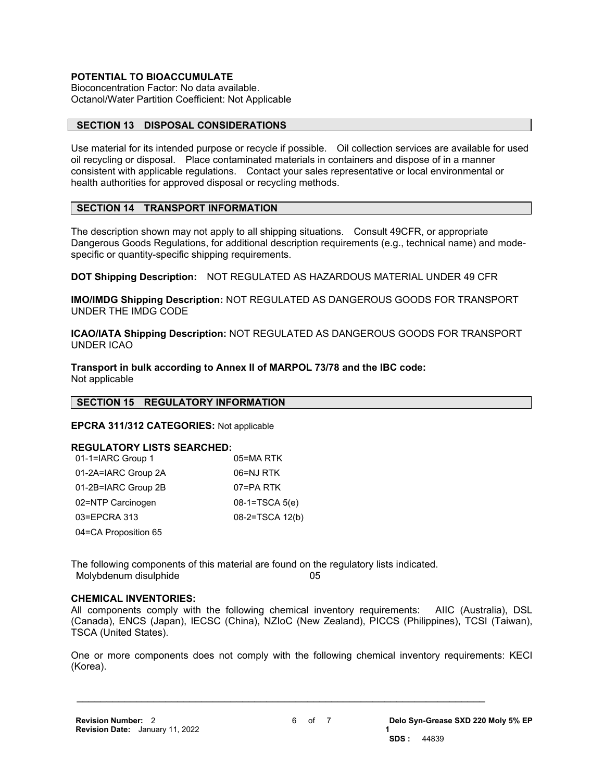# **POTENTIAL TO BIOACCUMULATE**

Bioconcentration Factor: No data available. Octanol/Water Partition Coefficient: Not Applicable

# **SECTION 13 DISPOSAL CONSIDERATIONS**

Use material for its intended purpose or recycle if possible. Oil collection services are available for used oil recycling or disposal. Place contaminated materials in containers and dispose of in a manner consistent with applicable regulations. Contact your sales representative or local environmental or health authorities for approved disposal or recycling methods.

# **SECTION 14 TRANSPORT INFORMATION**

The description shown may not apply to all shipping situations. Consult 49CFR, or appropriate Dangerous Goods Regulations, for additional description requirements (e.g., technical name) and modespecific or quantity-specific shipping requirements.

**DOT Shipping Description:** NOT REGULATED AS HAZARDOUS MATERIAL UNDER 49 CFR

**IMO/IMDG Shipping Description:** NOT REGULATED AS DANGEROUS GOODS FOR TRANSPORT UNDER THE IMDG CODE

**ICAO/IATA Shipping Description:** NOT REGULATED AS DANGEROUS GOODS FOR TRANSPORT UNDER ICAO

**Transport in bulk according to Annex II of MARPOL 73/78 and the IBC code:** Not applicable

#### **SECTION 15 REGULATORY INFORMATION**

**EPCRA 311/312 CATEGORIES:** Not applicable

#### **REGULATORY LISTS SEARCHED:**

| 01-1=IARC Group 1    | 05=MA RTK        |
|----------------------|------------------|
| 01-2A=IARC Group 2A  | 06=NJ RTK        |
| 01-2B=IARC Group 2B  | 07=PA RTK        |
| 02=NTP Carcinogen    | $08-1=TSCA 5(e)$ |
| 03=EPCRA 313         | 08-2=TSCA 12(b)  |
| 04=CA Proposition 65 |                  |

The following components of this material are found on the regulatory lists indicated. Molybdenum disulphide 05

#### **CHEMICAL INVENTORIES:**

All components comply with the following chemical inventory requirements: AIIC (Australia), DSL (Canada), ENCS (Japan), IECSC (China), NZIoC (New Zealand), PICCS (Philippines), TCSI (Taiwan), TSCA (United States).

One or more components does not comply with the following chemical inventory requirements: KECI (Korea).